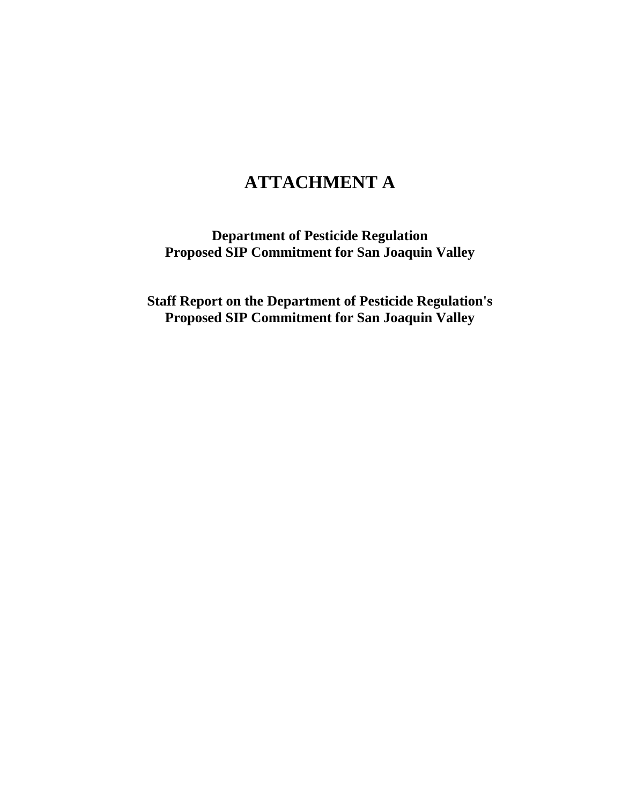# **ATTACHMENT A**

**Department of Pesticide Regulation Proposed SIP Commitment for San Joaquin Valley** 

**Staff Report on the Department of Pesticide Regulation's Proposed SIP Commitment for San Joaquin Valley**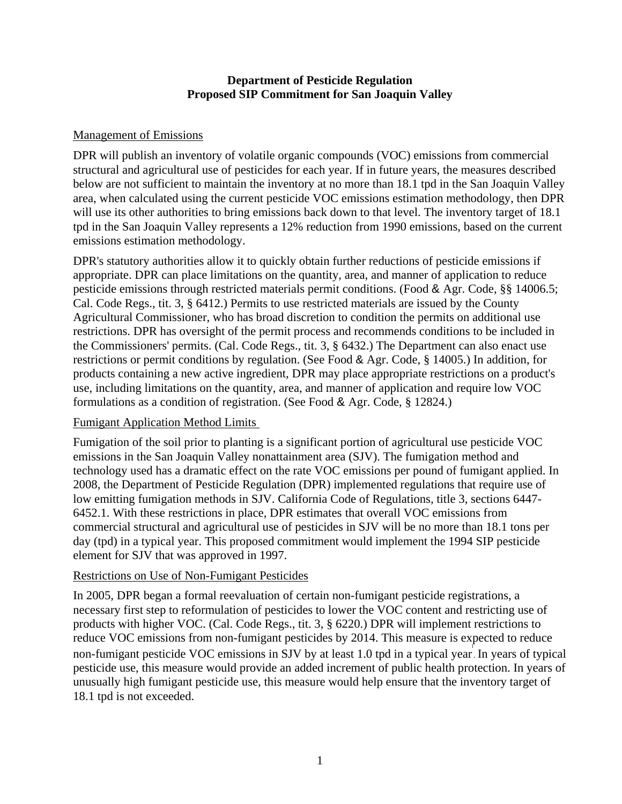## **Department of Pesticide Regulation Proposed SIP Commitment for San Joaquin Valley**

#### Management of Emissions

DPR will publish an inventory of volatile organic compounds (VOC) emissions from commercial structural and agricultural use of pesticides for each year. If in future years, the measures described below are not sufficient to maintain the inventory at no more than 18.1 tpd in the San Joaquin Valley area, when calculated using the current pesticide VOC emissions estimation methodology, then DPR will use its other authorities to bring emissions back down to that level. The inventory target of 18.1 tpd in the San Joaquin Valley represents a 12% reduction from 1990 emissions, based on the current emissions estimation methodology.

DPR's statutory authorities allow it to quickly obtain further reductions of pesticide emissions if appropriate. DPR can place limitations on the quantity, area, and manner of application to reduce pesticide emissions through restricted materials permit conditions. (Food & Agr. Code, §§ 14006.5; Cal. Code Regs., tit. 3, § 6412.) Permits to use restricted materials are issued by the County Agricultural Commissioner, who has broad discretion to condition the permits on additional use restrictions. DPR has oversight of the permit process and recommends conditions to be included in the Commissioners' permits. (Cal. Code Regs., tit. 3, § 6432.) The Department can also enact use restrictions or permit conditions by regulation. (See Food & Agr. Code, § 14005.) In addition, for products containing a new active ingredient, DPR may place appropriate restrictions on a product's use, including limitations on the quantity, area, and manner of application and require low VOC formulations as a condition of registration. (See Food & Agr. Code, § 12824.)

# Fumigant Application Method Limits

Fumigation of the soil prior to planting is a significant portion of agricultural use pesticide VOC emissions in the San Joaquin Valley nonattainment area (SJV). The fumigation method and technology used has a dramatic effect on the rate VOC emissions per pound of fumigant applied. In 2008, the Department of Pesticide Regulation (DPR) implemented regulations that require use of low emitting fumigation methods in SJV. California Code of Regulations, title 3, sections 6447- 6452.1. With these restrictions in place, DPR estimates that overall VOC emissions from commercial structural and agricultural use of pesticides in SJV will be no more than 18.1 tons per day (tpd) in a typical year. This proposed commitment would implement the 1994 SIP pesticide element for SJV that was approved in 1997.

# Restrictions on Use of Non-Fumigant Pesticides

In 2005, DPR began a formal reevaluation of certain non-fumigant pesticide registrations, a necessary first step to reformulation of pesticides to lower the VOC content and restricting use of products with higher VOC. (Cal. Code Regs., tit. 3, § 6220.) DPR will implement restrictions to reduce VOC emissions from non-fumigant pesticides by 2014. This measure is expected to reduce non-fumigant pesticide VOC emissions in SJV by at least 1.0 tpd in a typical year. In years of typical pesticide use, this measure would provide an added increment of public health protection. In years of unusually high fumigant pesticide use, this measure would help ensure that the inventory target of 18.1 tpd is not exceeded.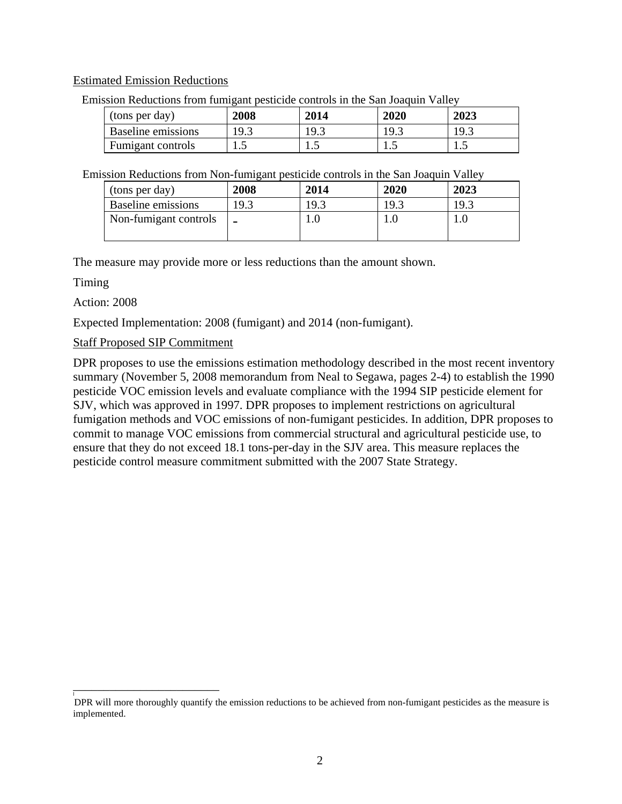#### Estimated Emission Reductions

| (tons per day)     | 2008 | 2014 | 2020 | 2023 |
|--------------------|------|------|------|------|
| Baseline emissions |      | ث.19 |      | 19.3 |
| Fumigant controls  | .    | ن .  | ر…   | ن د  |

Emission Reductions from fumigant pesticide controls in the San Joaquin Valley

Emission Reductions from Non-fumigant pesticide controls in the San Joaquin Valley

| (tons per day)        | 2008 | 2014 | 2020 | 2023 |
|-----------------------|------|------|------|------|
| Baseline emissions    | 19.3 | 19.3 | 19.3 | 19.3 |
| Non-fumigant controls |      | l.U  |      | I.U  |

The measure may provide more or less reductions than the amount shown.

Timing

Action: 2008

Expected Implementation: 2008 (fumigant) and 2014 (non-fumigant).

# Staff Proposed SIP Commitment

\_\_\_\_\_\_\_\_\_\_\_\_\_\_\_\_\_\_\_\_\_\_\_\_

l

DPR proposes to use the emissions estimation methodology described in the most recent inventory summary (November 5, 2008 memorandum from Neal to Segawa, pages 2-4) to establish the 1990 pesticide VOC emission levels and evaluate compliance with the 1994 SIP pesticide element for SJV, which was approved in 1997. DPR proposes to implement restrictions on agricultural fumigation methods and VOC emissions of non-fumigant pesticides. In addition, DPR proposes to commit to manage VOC emissions from commercial structural and agricultural pesticide use, to ensure that they do not exceed 18.1 tons-per-day in the SJV area. This measure replaces the pesticide control measure commitment submitted with the 2007 State Strategy.

DPR will more thoroughly quantify the emission reductions to be achieved from non-fumigant pesticides as the measure is implemented.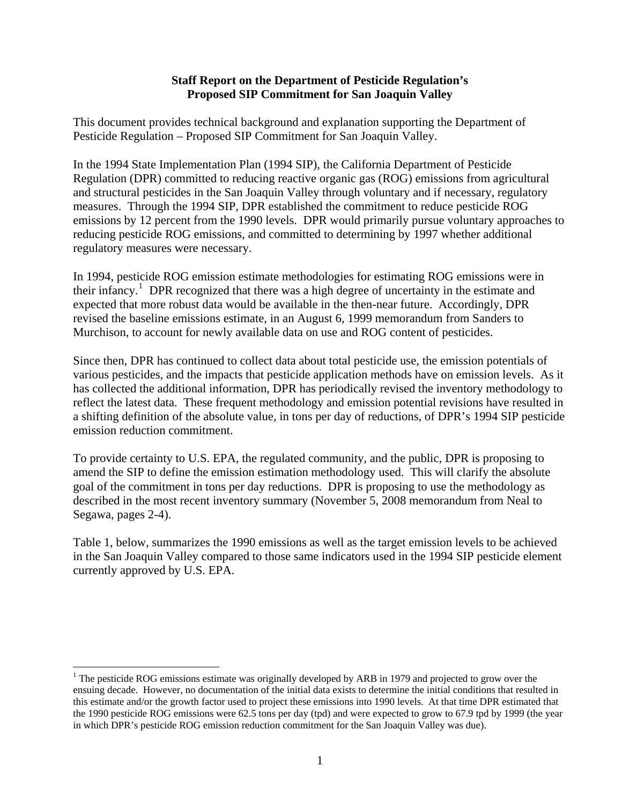#### **Staff Report on the Department of Pesticide Regulation's Proposed SIP Commitment for San Joaquin Valley**

This document provides technical background and explanation supporting the Department of Pesticide Regulation – Proposed SIP Commitment for San Joaquin Valley.

In the 1994 State Implementation Plan (1994 SIP), the California Department of Pesticide Regulation (DPR) committed to reducing reactive organic gas (ROG) emissions from agricultural and structural pesticides in the San Joaquin Valley through voluntary and if necessary, regulatory measures. Through the 1994 SIP, DPR established the commitment to reduce pesticide ROG emissions by 12 percent from the 1990 levels. DPR would primarily pursue voluntary approaches to reducing pesticide ROG emissions, and committed to determining by 1997 whether additional regulatory measures were necessary.

In 1994, pesticide ROG emission estimate methodologies for estimating ROG emissions were in their infancy.<sup>[1](#page-3-0)</sup> DPR recognized that there was a high degree of uncertainty in the estimate and expected that more robust data would be available in the then-near future. Accordingly, DPR revised the baseline emissions estimate, in an August 6, 1999 memorandum from Sanders to Murchison, to account for newly available data on use and ROG content of pesticides.

Since then, DPR has continued to collect data about total pesticide use, the emission potentials of various pesticides, and the impacts that pesticide application methods have on emission levels. As it has collected the additional information, DPR has periodically revised the inventory methodology to reflect the latest data. These frequent methodology and emission potential revisions have resulted in a shifting definition of the absolute value, in tons per day of reductions, of DPR's 1994 SIP pesticide emission reduction commitment.

To provide certainty to U.S. EPA, the regulated community, and the public, DPR is proposing to amend the SIP to define the emission estimation methodology used. This will clarify the absolute goal of the commitment in tons per day reductions. DPR is proposing to use the methodology as described in the most recent inventory summary (November 5, 2008 memorandum from Neal to Segawa, pages 2-4).

Table 1, below, summarizes the 1990 emissions as well as the target emission levels to be achieved in the San Joaquin Valley compared to those same indicators used in the 1994 SIP pesticide element currently approved by U.S. EPA.

 $\overline{a}$ 

<span id="page-3-0"></span><sup>&</sup>lt;sup>1</sup> The pesticide ROG emissions estimate was originally developed by ARB in 1979 and projected to grow over the ensuing decade. However, no documentation of the initial data exists to determine the initial conditions that resulted in this estimate and/or the growth factor used to project these emissions into 1990 levels. At that time DPR estimated that the 1990 pesticide ROG emissions were 62.5 tons per day (tpd) and were expected to grow to 67.9 tpd by 1999 (the year in which DPR's pesticide ROG emission reduction commitment for the San Joaquin Valley was due).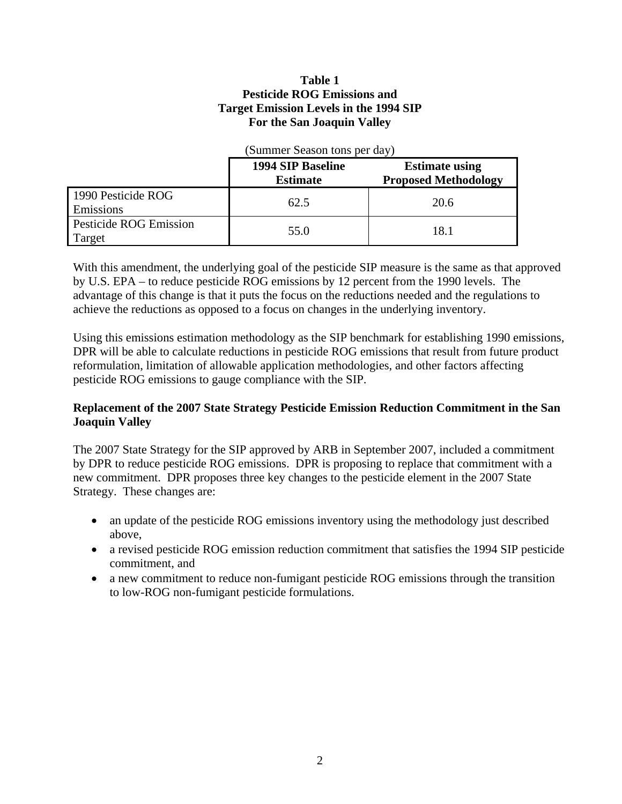## **Table 1 Pesticide ROG Emissions and Target Emission Levels in the 1994 SIP For the San Joaquin Valley**

|                                         | (Summer Season tons per day)         |                                                      |  |
|-----------------------------------------|--------------------------------------|------------------------------------------------------|--|
|                                         | 1994 SIP Baseline<br><b>Estimate</b> | <b>Estimate using</b><br><b>Proposed Methodology</b> |  |
| 1990 Pesticide ROG<br>Emissions         | 62.5                                 | 20.6                                                 |  |
| <b>Pesticide ROG Emission</b><br>Target | 55.0                                 | 18.1                                                 |  |

With this amendment, the underlying goal of the pesticide SIP measure is the same as that approved by U.S. EPA – to reduce pesticide ROG emissions by 12 percent from the 1990 levels. The advantage of this change is that it puts the focus on the reductions needed and the regulations to achieve the reductions as opposed to a focus on changes in the underlying inventory.

Using this emissions estimation methodology as the SIP benchmark for establishing 1990 emissions, DPR will be able to calculate reductions in pesticide ROG emissions that result from future product reformulation, limitation of allowable application methodologies, and other factors affecting pesticide ROG emissions to gauge compliance with the SIP.

# **Replacement of the 2007 State Strategy Pesticide Emission Reduction Commitment in the San Joaquin Valley**

The 2007 State Strategy for the SIP approved by ARB in September 2007, included a commitment by DPR to reduce pesticide ROG emissions. DPR is proposing to replace that commitment with a new commitment. DPR proposes three key changes to the pesticide element in the 2007 State Strategy. These changes are:

- an update of the pesticide ROG emissions inventory using the methodology just described above,
- a revised pesticide ROG emission reduction commitment that satisfies the 1994 SIP pesticide commitment, and
- a new commitment to reduce non-fumigant pesticide ROG emissions through the transition to low-ROG non-fumigant pesticide formulations.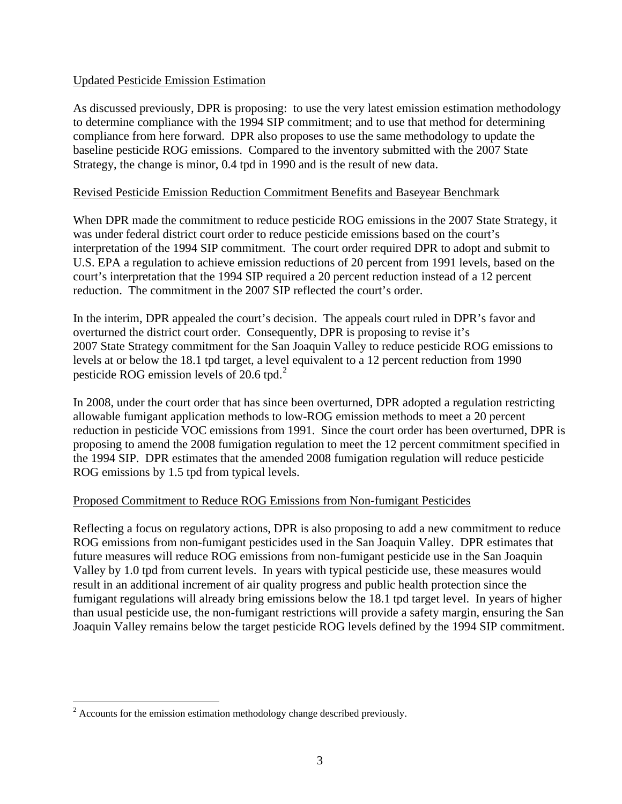## Updated Pesticide Emission Estimation

As discussed previously, DPR is proposing: to use the very latest emission estimation methodology to determine compliance with the 1994 SIP commitment; and to use that method for determining compliance from here forward. DPR also proposes to use the same methodology to update the baseline pesticide ROG emissions. Compared to the inventory submitted with the 2007 State Strategy, the change is minor, 0.4 tpd in 1990 and is the result of new data.

## Revised Pesticide Emission Reduction Commitment Benefits and Baseyear Benchmark

When DPR made the commitment to reduce pesticide ROG emissions in the 2007 State Strategy, it was under federal district court order to reduce pesticide emissions based on the court's interpretation of the 1994 SIP commitment. The court order required DPR to adopt and submit to U.S. EPA a regulation to achieve emission reductions of 20 percent from 1991 levels, based on the court's interpretation that the 1994 SIP required a 20 percent reduction instead of a 12 percent reduction. The commitment in the 2007 SIP reflected the court's order.

In the interim, DPR appealed the court's decision. The appeals court ruled in DPR's favor and overturned the district court order. Consequently, DPR is proposing to revise it's 2007 State Strategy commitment for the San Joaquin Valley to reduce pesticide ROG emissions to levels at or below the 18.1 tpd target, a level equivalent to a 12 percent reduction from 1990 pesticide ROG emission levels of  $20.6$  $20.6$  tpd.<sup>2</sup>

In 2008, under the court order that has since been overturned, DPR adopted a regulation restricting allowable fumigant application methods to low-ROG emission methods to meet a 20 percent reduction in pesticide VOC emissions from 1991. Since the court order has been overturned, DPR is proposing to amend the 2008 fumigation regulation to meet the 12 percent commitment specified in the 1994 SIP. DPR estimates that the amended 2008 fumigation regulation will reduce pesticide ROG emissions by 1.5 tpd from typical levels.

# Proposed Commitment to Reduce ROG Emissions from Non-fumigant Pesticides

Reflecting a focus on regulatory actions, DPR is also proposing to add a new commitment to reduce ROG emissions from non-fumigant pesticides used in the San Joaquin Valley. DPR estimates that future measures will reduce ROG emissions from non-fumigant pesticide use in the San Joaquin Valley by 1.0 tpd from current levels. In years with typical pesticide use, these measures would result in an additional increment of air quality progress and public health protection since the fumigant regulations will already bring emissions below the 18.1 tpd target level. In years of higher than usual pesticide use, the non-fumigant restrictions will provide a safety margin, ensuring the San Joaquin Valley remains below the target pesticide ROG levels defined by the 1994 SIP commitment.

 $\overline{a}$ 

<span id="page-5-0"></span> $2^2$  Accounts for the emission estimation methodology change described previously.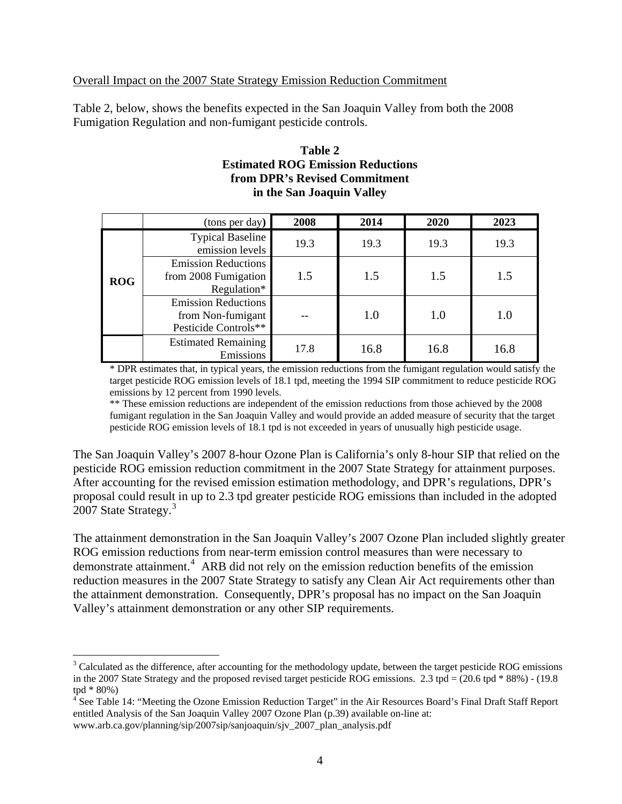## Overall Impact on the 2007 State Strategy Emission Reduction Commitment

Table 2, below, shows the benefits expected in the San Joaquin Valley from both the 2008 Fumigation Regulation and non-fumigant pesticide controls.

#### **Table 2 Estimated ROG Emission Reductions from DPR's Revised Commitment in the San Joaquin Valley**

|            | (tons per day)                                                          | 2008 | 2014 | 2020 | 2023 |
|------------|-------------------------------------------------------------------------|------|------|------|------|
|            | <b>Typical Baseline</b><br>emission levels                              | 19.3 | 19.3 | 19.3 | 19.3 |
| <b>ROG</b> | <b>Emission Reductions</b><br>from 2008 Fumigation<br>Regulation*       | 1.5  | 1.5  | 1.5  | 1.5  |
|            | <b>Emission Reductions</b><br>from Non-fumigant<br>Pesticide Controls** |      | 1.0  | 1.0  | 1.0  |
|            | <b>Estimated Remaining</b><br>Emissions                                 | 17.8 | 16.8 | 16.8 | 16.8 |

\* DPR estimates that, in typical years, the emission reductions from the fumigant regulation would satisfy the target pesticide ROG emission levels of 18.1 tpd, meeting the 1994 SIP commitment to reduce pesticide ROG emissions by 12 percent from 1990 levels.

\*\* These emission reductions are independent of the emission reductions from those achieved by the 2008 fumigant regulation in the San Joaquin Valley and would provide an added measure of security that the target pesticide ROG emission levels of 18.1 tpd is not exceeded in years of unusually high pesticide usage.

The San Joaquin Valley's 2007 8-hour Ozone Plan is California's only 8-hour SIP that relied on the pesticide ROG emission reduction commitment in the 2007 State Strategy for attainment purposes. After accounting for the revised emission estimation methodology, and DPR's regulations, DPR's proposal could result in up to 2.3 tpd greater pesticide ROG emissions than included in the adopted 2007 State Strategy.<sup>[3](#page-6-0)</sup>

The attainment demonstration in the San Joaquin Valley's 2007 Ozone Plan included slightly greater ROG emission reductions from near-term emission control measures than were necessary to demonstrate attainment.<sup>[4](#page-6-1)</sup> ARB did not rely on the emission reduction benefits of the emission reduction measures in the 2007 State Strategy to satisfy any Clean Air Act requirements other than the attainment demonstration. Consequently, DPR's proposal has no impact on the San Joaquin Valley's attainment demonstration or any other SIP requirements.

<span id="page-6-0"></span><sup>&</sup>lt;sup>3</sup> Calculated as the difference, after accounting for the methodology update, between the target pesticide ROG emissions in the 2007 State Strategy and the proposed revised target pesticide ROG emissions. 2.3 tpd =  $(20.6 \text{ tpd} * 88%) - (19.8 \text{ m})$ tpd \* 80%)

<span id="page-6-1"></span><sup>&</sup>lt;sup>4</sup> See Table 14: "Meeting the Ozone Emission Reduction Target" in the Air Resources Board's Final Draft Staff Report entitled Analysis of the San Joaquin Valley 2007 Ozone Plan (p.39) available on-line at: www.arb.ca.gov/planning/sip/2007sip/sanjoaquin/sjv\_2007\_plan\_analysis.pdf